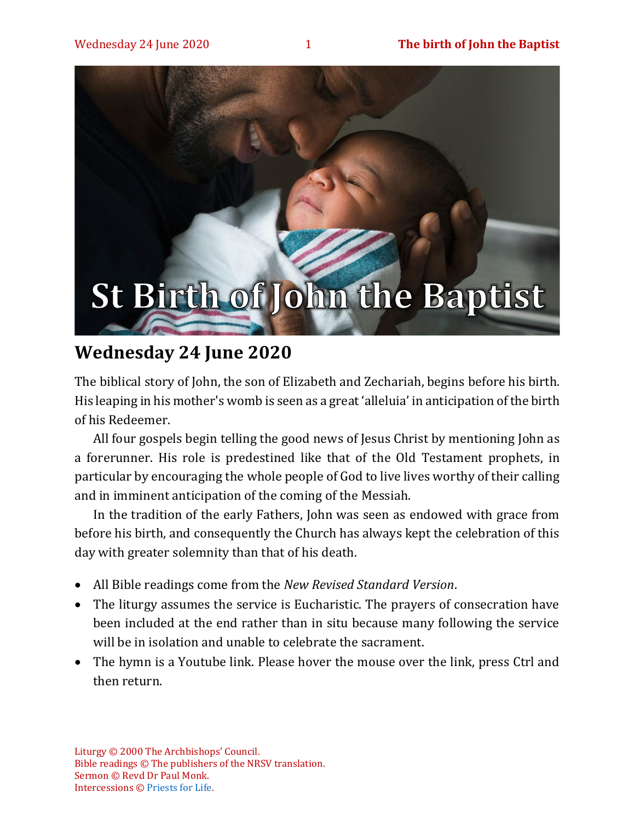

### **Wednesday 24 June 2020**

The biblical story of John, the son of Elizabeth and Zechariah, begins before his birth. His leaping in his mother's womb is seen as a great 'alleluia' in anticipation of the birth of his Redeemer.

All four gospels begin telling the good news of Jesus Christ by mentioning John as a forerunner. His role is predestined like that of the Old Testament prophets, in particular by encouraging the whole people of God to live lives worthy of their calling and in imminent anticipation of the coming of the Messiah.

In the tradition of the early Fathers, John was seen as endowed with grace from before his birth, and consequently the Church has always kept the celebration of this day with greater solemnity than that of his death.

- All Bible readings come from the *New Revised Standard Version*.
- The liturgy assumes the service is Eucharistic. The prayers of consecration have been included at the end rather than in situ because many following the service will be in isolation and unable to celebrate the sacrament.
- The hymn is a Youtube link. Please hover the mouse over the link, press Ctrl and then return.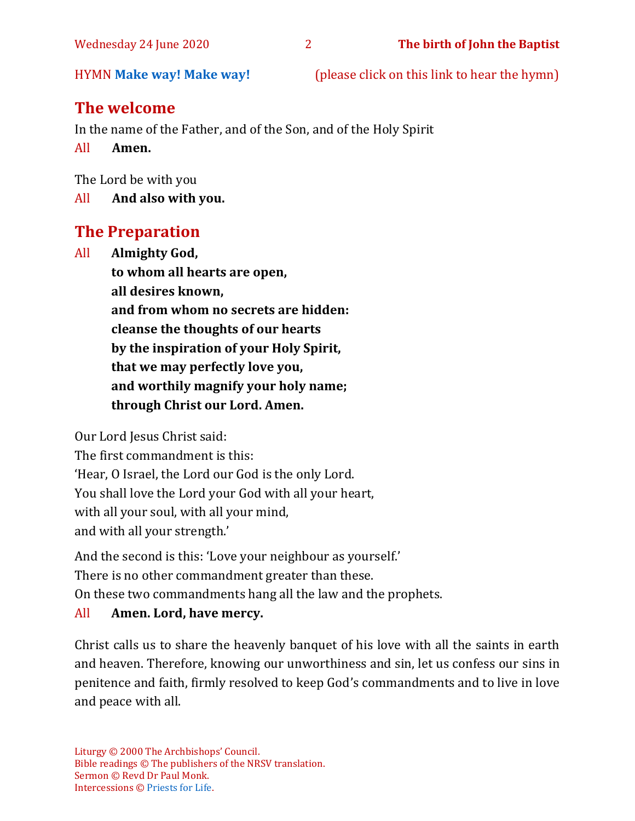HYMN **[Make way! Make way!](https://www.youtube.com/watch?v=78iCdVc5LVM)** (please click on this link to hear the hymn)

### **The welcome**

In the name of the Father, and of the Son, and of the Holy Spirit

All **Amen.**

The Lord be with you

All **And also with you.**

### **The Preparation**

All **Almighty God, to whom all hearts are open, all desires known, and from whom no secrets are hidden: cleanse the thoughts of our hearts by the inspiration of your Holy Spirit, that we may perfectly love you, and worthily magnify your holy name; through Christ our Lord. Amen.**

Our Lord Jesus Christ said:

The first commandment is this: 'Hear, O Israel, the Lord our God is the only Lord. You shall love the Lord your God with all your heart, with all your soul, with all your mind, and with all your strength.'

And the second is this: 'Love your neighbour as yourself.'

There is no other commandment greater than these.

On these two commandments hang all the law and the prophets.

### All **Amen. Lord, have mercy.**

Christ calls us to share the heavenly banquet of his love with all the saints in earth and heaven. Therefore, knowing our unworthiness and sin, let us confess our sins in penitence and faith, firmly resolved to keep God's commandments and to live in love and peace with all.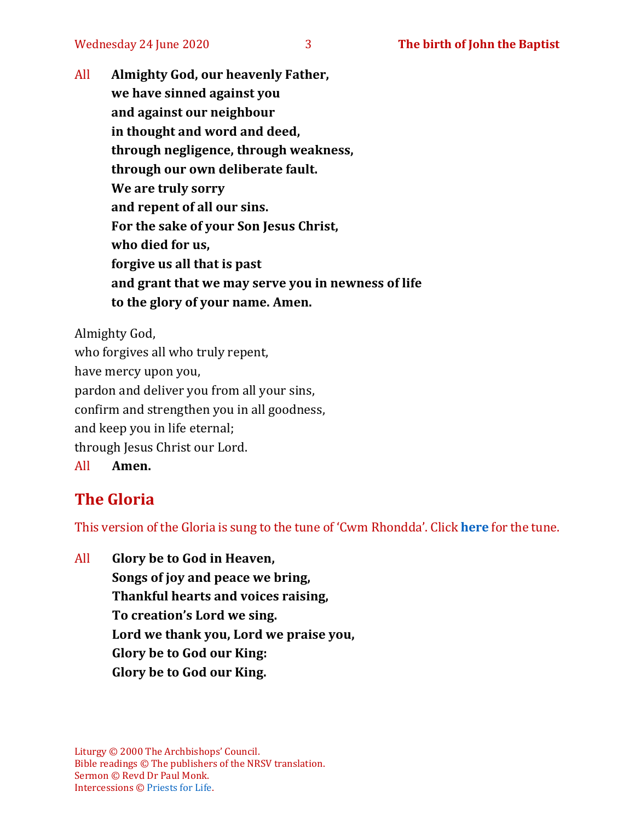All **Almighty God, our heavenly Father, we have sinned against you and against our neighbour in thought and word and deed, through negligence, through weakness, through our own deliberate fault. We are truly sorry and repent of all our sins. For the sake of your Son Jesus Christ, who died for us, forgive us all that is past and grant that we may serve you in newness of life to the glory of your name. Amen.**

Almighty God, who forgives all who truly repent, have mercy upon you, pardon and deliver you from all your sins, confirm and strengthen you in all goodness, and keep you in life eternal; through Jesus Christ our Lord. All **Amen.**

### **The Gloria**

This version of the Gloria is sung to the tune of 'Cwm Rhondda'. Click **[here](https://www.youtube.com/watch?v=BtGhnEwY74E)** for the tune.

All **Glory be to God in Heaven, Songs of joy and peace we bring, Thankful hearts and voices raising, To creation's Lord we sing. Lord we thank you, Lord we praise you, Glory be to God our King: Glory be to God our King.**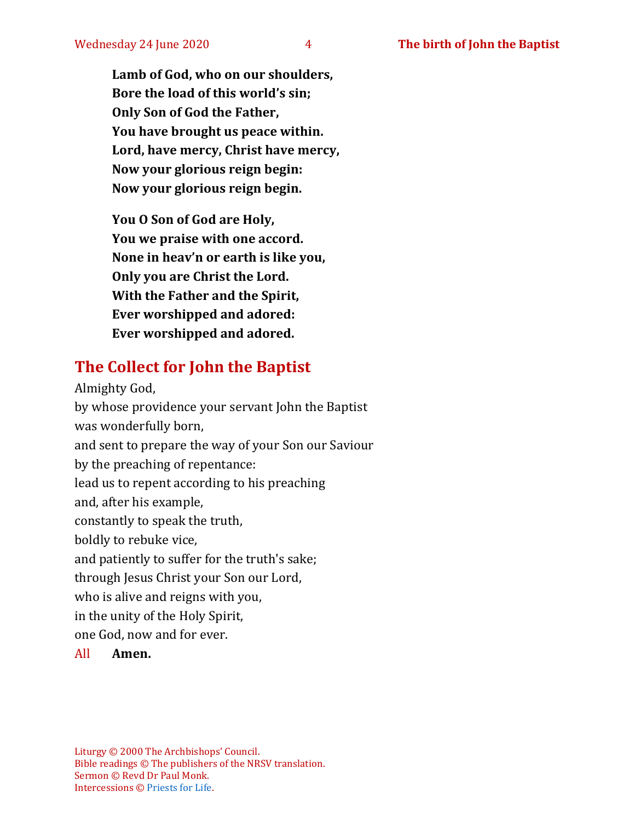**Lamb of God, who on our shoulders, Bore the load of this world's sin; Only Son of God the Father, You have brought us peace within. Lord, have mercy, Christ have mercy, Now your glorious reign begin: Now your glorious reign begin.**

**You O Son of God are Holy, You we praise with one accord. None in heav'n or earth is like you, Only you are Christ the Lord. With the Father and the Spirit, Ever worshipped and adored: Ever worshipped and adored.**

### **The Collect for John the Baptist**

Almighty God, by whose providence your servant John the Baptist was wonderfully born, and sent to prepare the way of your Son our Saviour by the preaching of repentance: lead us to repent according to his preaching and, after his example, constantly to speak the truth, boldly to rebuke vice, and patiently to suffer for the truth's sake; through Jesus Christ your Son our Lord, who is alive and reigns with you, in the unity of the Holy Spirit, one God, now and for ever.

#### All **Amen.**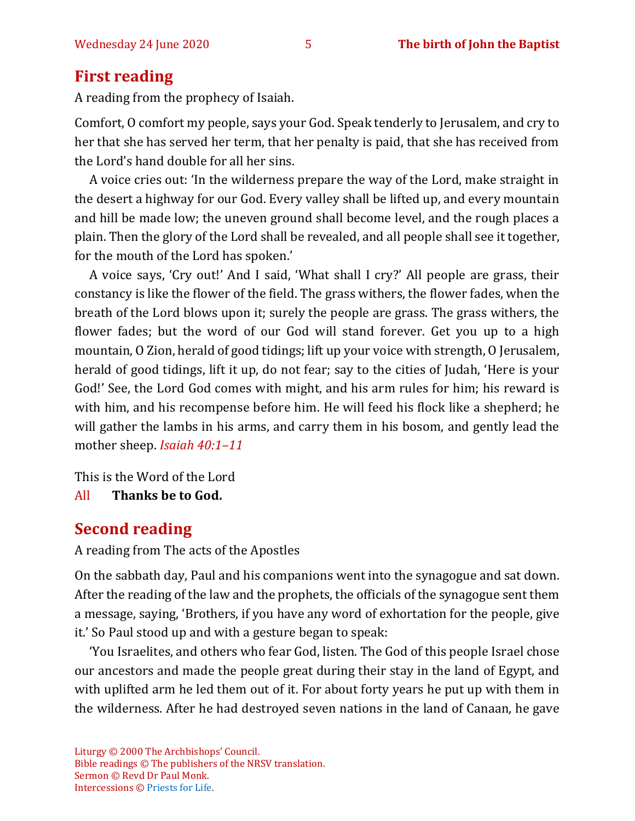#### Wednesday 24 June 2020 5 **The birth of John the Baptist**

### **First reading**

A reading from the prophecy of Isaiah.

Comfort, O comfort my people, says your God. Speak tenderly to Jerusalem, and cry to her that she has served her term, that her penalty is paid, that she has received from the Lord's hand double for all her sins.

A voice cries out: 'In the wilderness prepare the way of the Lord, make straight in the desert a highway for our God. Every valley shall be lifted up, and every mountain and hill be made low; the uneven ground shall become level, and the rough places a plain. Then the glory of the Lord shall be revealed, and all people shall see it together, for the mouth of the Lord has spoken.'

A voice says, 'Cry out!' And I said, 'What shall I cry?' All people are grass, their constancy is like the flower of the field. The grass withers, the flower fades, when the breath of the Lord blows upon it; surely the people are grass. The grass withers, the flower fades; but the word of our God will stand forever. Get you up to a high mountain, O Zion, herald of good tidings; lift up your voice with strength, O Jerusalem, herald of good tidings, lift it up, do not fear; say to the cities of Judah, 'Here is your God!' See, the Lord God comes with might, and his arm rules for him; his reward is with him, and his recompense before him. He will feed his flock like a shepherd; he will gather the lambs in his arms, and carry them in his bosom, and gently lead the mother sheep. *Isaiah 40:1–11*

This is the Word of the Lord

All **Thanks be to God.**

### **Second reading**

A reading from The acts of the Apostles

On the sabbath day, Paul and his companions went into the synagogue and sat down. After the reading of the law and the prophets, the officials of the synagogue sent them a message, saying, 'Brothers, if you have any word of exhortation for the people, give it.' So Paul stood up and with a gesture began to speak:

'You Israelites, and others who fear God, listen. The God of this people Israel chose our ancestors and made the people great during their stay in the land of Egypt, and with uplifted arm he led them out of it. For about forty years he put up with them in the wilderness. After he had destroyed seven nations in the land of Canaan, he gave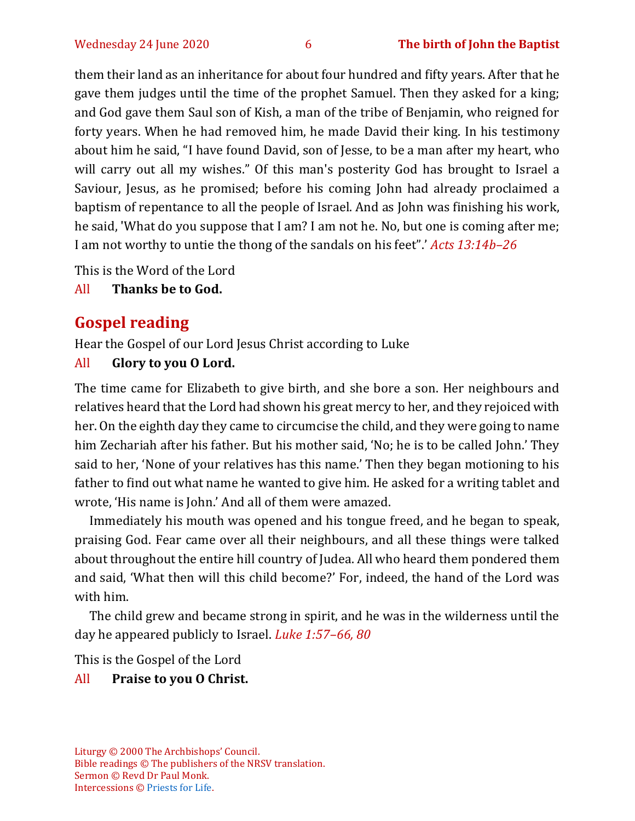them their land as an inheritance for about four hundred and fifty years. After that he gave them judges until the time of the prophet Samuel. Then they asked for a king; and God gave them Saul son of Kish, a man of the tribe of Benjamin, who reigned for forty years. When he had removed him, he made David their king. In his testimony about him he said, "I have found David, son of Jesse, to be a man after my heart, who will carry out all my wishes." Of this man's posterity God has brought to Israel a Saviour, Jesus, as he promised; before his coming John had already proclaimed a baptism of repentance to all the people of Israel. And as John was finishing his work, he said, 'What do you suppose that I am? I am not he. No, but one is coming after me; I am not worthy to untie the thong of the sandals on his feet".' *Acts 13:14b–26*

This is the Word of the Lord

All **Thanks be to God.**

### **Gospel reading**

Hear the Gospel of our Lord Jesus Christ according to Luke

All **Glory to you O Lord.**

The time came for Elizabeth to give birth, and she bore a son. Her neighbours and relatives heard that the Lord had shown his great mercy to her, and they rejoiced with her. On the eighth day they came to circumcise the child, and they were going to name him Zechariah after his father. But his mother said, 'No; he is to be called John.' They said to her, 'None of your relatives has this name.' Then they began motioning to his father to find out what name he wanted to give him. He asked for a writing tablet and wrote, 'His name is John.' And all of them were amazed.

Immediately his mouth was opened and his tongue freed, and he began to speak, praising God. Fear came over all their neighbours, and all these things were talked about throughout the entire hill country of Judea. All who heard them pondered them and said, 'What then will this child become?' For, indeed, the hand of the Lord was with him.

The child grew and became strong in spirit, and he was in the wilderness until the day he appeared publicly to Israel. *Luke 1:57–66, 80*

This is the Gospel of the Lord

### All **Praise to you O Christ.**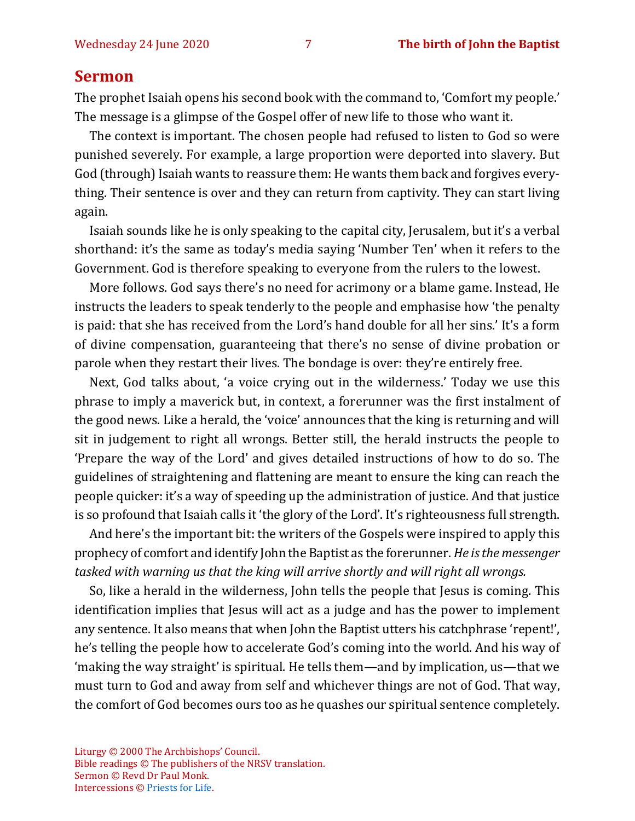#### **Sermon**

The prophet Isaiah opens his second book with the command to, 'Comfort my people.' The message is a glimpse of the Gospel offer of new life to those who want it.

The context is important. The chosen people had refused to listen to God so were punished severely. For example, a large proportion were deported into slavery. But God (through) Isaiah wants to reassure them: He wants them back and forgives everything. Their sentence is over and they can return from captivity. They can start living again.

Isaiah sounds like he is only speaking to the capital city, Jerusalem, but it's a verbal shorthand: it's the same as today's media saying 'Number Ten' when it refers to the Government. God is therefore speaking to everyone from the rulers to the lowest.

More follows. God says there's no need for acrimony or a blame game. Instead, He instructs the leaders to speak tenderly to the people and emphasise how 'the penalty is paid: that she has received from the Lord's hand double for all her sins.' It's a form of divine compensation, guaranteeing that there's no sense of divine probation or parole when they restart their lives. The bondage is over: they're entirely free.

Next, God talks about, 'a voice crying out in the wilderness.' Today we use this phrase to imply a maverick but, in context, a forerunner was the first instalment of the good news. Like a herald, the 'voice' announces that the king is returning and will sit in judgement to right all wrongs. Better still, the herald instructs the people to 'Prepare the way of the Lord' and gives detailed instructions of how to do so. The guidelines of straightening and flattening are meant to ensure the king can reach the people quicker: it's a way of speeding up the administration of justice. And that justice is so profound that Isaiah calls it 'the glory of the Lord'. It's righteousness full strength.

And here's the important bit: the writers of the Gospels were inspired to apply this prophecy of comfort and identify John the Baptist as the forerunner. *He is the messenger tasked with warning us that the king will arrive shortly and will right all wrongs.* 

So, like a herald in the wilderness, John tells the people that Jesus is coming. This identification implies that Jesus will act as a judge and has the power to implement any sentence. It also means that when John the Baptist utters his catchphrase 'repent!', he's telling the people how to accelerate God's coming into the world. And his way of 'making the way straight' is spiritual. He tells them—and by implication, us—that we must turn to God and away from self and whichever things are not of God. That way, the comfort of God becomes ours too as he quashes our spiritual sentence completely.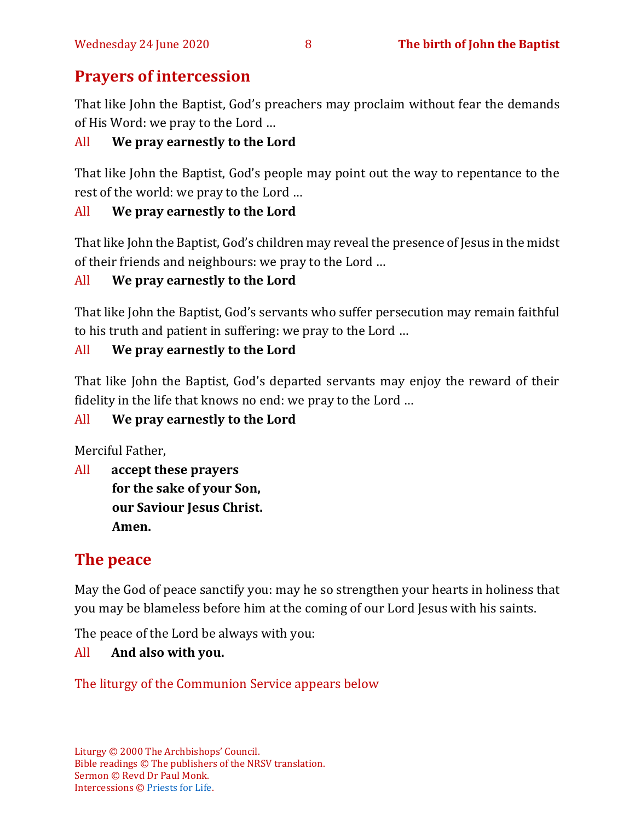### **Prayers of intercession**

That like John the Baptist, God's preachers may proclaim without fear the demands of His Word: we pray to the Lord …

### All **We pray earnestly to the Lord**

That like John the Baptist, God's people may point out the way to repentance to the rest of the world: we pray to the Lord …

### All **We pray earnestly to the Lord**

That like John the Baptist, God's children may reveal the presence of Jesus in the midst of their friends and neighbours: we pray to the Lord …

### All **We pray earnestly to the Lord**

That like John the Baptist, God's servants who suffer persecution may remain faithful to his truth and patient in suffering: we pray to the Lord …

### All **We pray earnestly to the Lord**

That like John the Baptist, God's departed servants may enjoy the reward of their fidelity in the life that knows no end: we pray to the Lord …

### All **We pray earnestly to the Lord**

Merciful Father,

All **accept these prayers for the sake of your Son, our Saviour Jesus Christ. Amen.**

### **The peace**

May the God of peace sanctify you: may he so strengthen your hearts in holiness that you may be blameless before him at the coming of our Lord Jesus with his saints.

The peace of the Lord be always with you:

#### All **And also with you.**

The liturgy of the Communion Service appears below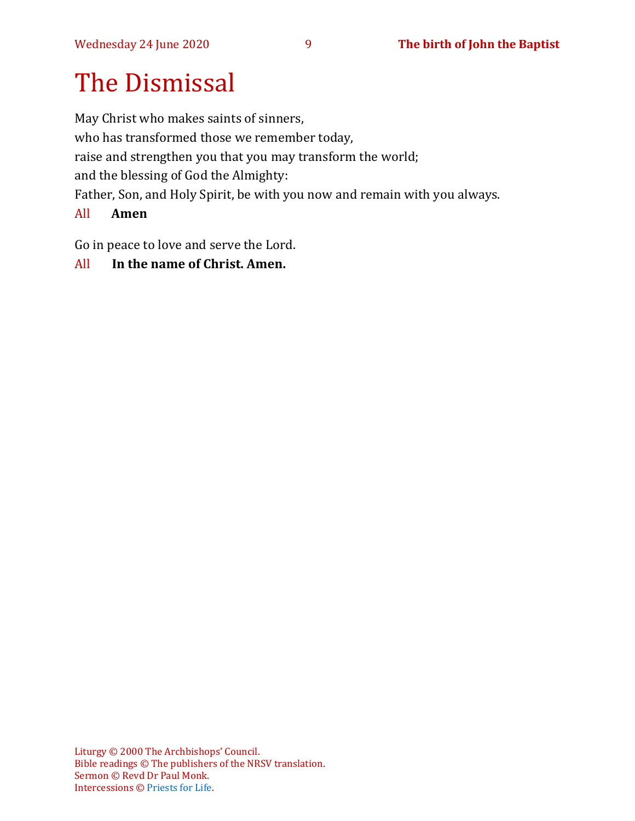# The Dismissal

May Christ who makes saints of sinners, who has transformed those we remember today, raise and strengthen you that you may transform the world; and the blessing of God the Almighty: Father, Son, and Holy Spirit, be with you now and remain with you always.

### All **Amen**

Go in peace to love and serve the Lord.

### All **In the name of Christ. Amen.**

Liturgy © 2000 The Archbishops' Council. Bible readings © The publishers of the NRSV translation. Sermon © Revd Dr Paul Monk. Intercessions © Priests [for Life.](https://www.priestsforlife.org/liturgy/liturgicalresource-cycles.aspx?id=63)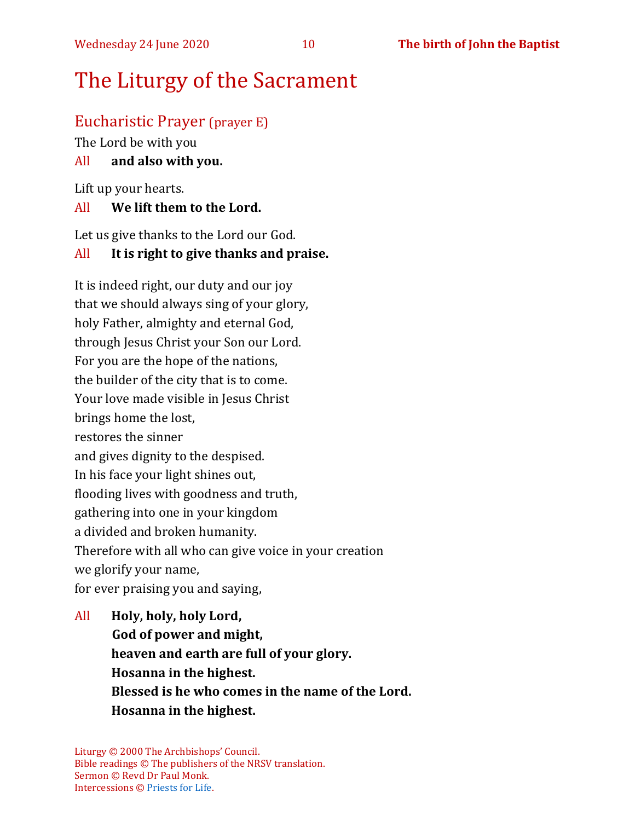## The Liturgy of the Sacrament

### Eucharistic Prayer (prayer E)

The Lord be with you

### All **and also with you.**

Lift up your hearts.

#### All **We lift them to the Lord.**

Let us give thanks to the Lord our God.

### All **It is right to give thanks and praise.**

It is indeed right, our duty and our joy that we should always sing of your glory, holy Father, almighty and eternal God, through Jesus Christ your Son our Lord. For you are the hope of the nations, the builder of the city that is to come. Your love made visible in Jesus Christ brings home the lost, restores the sinner and gives dignity to the despised. In his face your light shines out, flooding lives with goodness and truth, gathering into one in your kingdom a divided and broken humanity. Therefore with all who can give voice in your creation we glorify your name, for ever praising you and saying,

All **Holy, holy, holy Lord, God of power and might, heaven and earth are full of your glory. Hosanna in the highest. Blessed is he who comes in the name of the Lord. Hosanna in the highest.**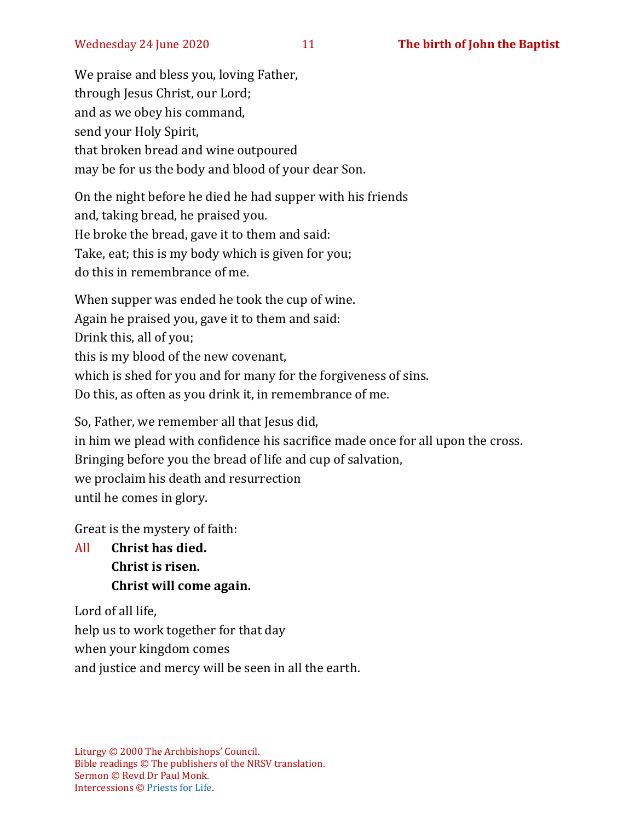We praise and bless you, loving Father, through Jesus Christ, our Lord; and as we obey his command, send your Holy Spirit, that broken bread and wine outpoured may be for us the body and blood of your dear Son.

On the night before he died he had supper with his friends and, taking bread, he praised you. He broke the bread, gave it to them and said: Take, eat; this is my body which is given for you; do this in remembrance of me.

When supper was ended he took the cup of wine. Again he praised you, gave it to them and said: Drink this, all of you; this is my blood of the new covenant, which is shed for you and for many for the forgiveness of sins. Do this, as often as you drink it, in remembrance of me.

So, Father, we remember all that Jesus did, in him we plead with confidence his sacrifice made once for all upon the cross. Bringing before you the bread of life and cup of salvation, we proclaim his death and resurrection until he comes in glory.

Great is the mystery of faith:

All **Christ has died. Christ is risen. Christ will come again.**

Lord of all life, help us to work together for that day when your kingdom comes and justice and mercy will be seen in all the earth.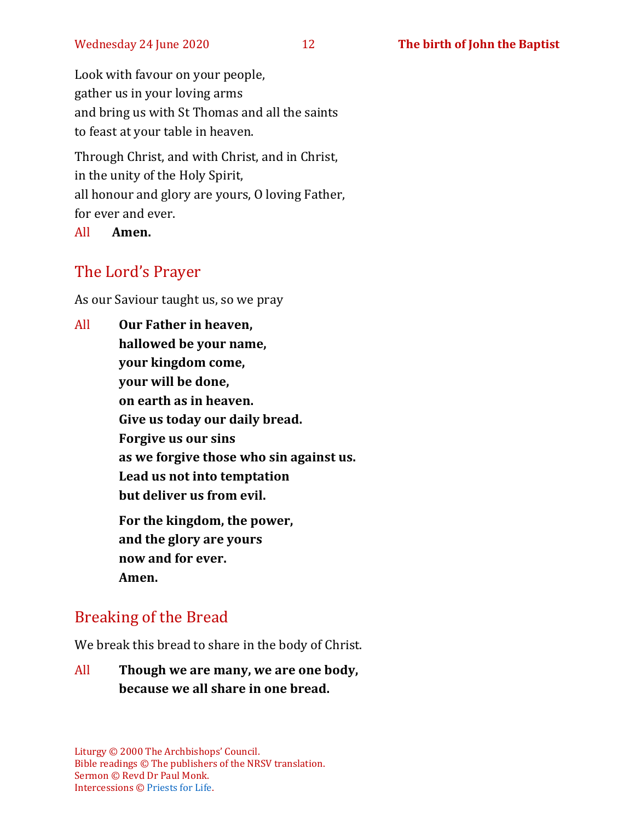Look with favour on your people, gather us in your loving arms and bring us with St Thomas and all the saints to feast at your table in heaven.

Through Christ, and with Christ, and in Christ, in the unity of the Holy Spirit, all honour and glory are yours, O loving Father, for ever and ever.

All **Amen.**

### The Lord's Prayer

As our Saviour taught us, so we pray

All **Our Father in heaven, hallowed be your name, your kingdom come, your will be done, on earth as in heaven. Give us today our daily bread. Forgive us our sins as we forgive those who sin against us. Lead us not into temptation but deliver us from evil. For the kingdom, the power, and the glory are yours now and for ever. Amen.**

### Breaking of the Bread

We break this bread to share in the body of Christ.

All **Though we are many, we are one body, because we all share in one bread.**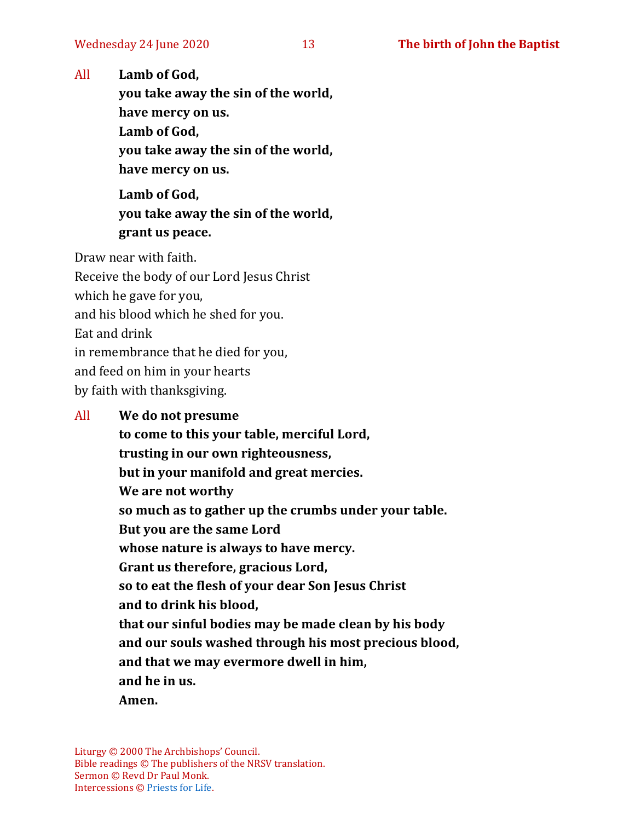All **Lamb of God,**

**you take away the sin of the world, have mercy on us. Lamb of God, you take away the sin of the world, have mercy on us.**

**Lamb of God, you take away the sin of the world, grant us peace.**

Draw near with faith.

Receive the body of our Lord Jesus Christ which he gave for you, and his blood which he shed for you. Eat and drink in remembrance that he died for you, and feed on him in your hearts by faith with thanksgiving.

### All **We do not presume**

**to come to this your table, merciful Lord, trusting in our own righteousness, but in your manifold and great mercies. We are not worthy so much as to gather up the crumbs under your table. But you are the same Lord whose nature is always to have mercy. Grant us therefore, gracious Lord, so to eat the flesh of your dear Son Jesus Christ and to drink his blood, that our sinful bodies may be made clean by his body and our souls washed through his most precious blood, and that we may evermore dwell in him, and he in us. Amen.**